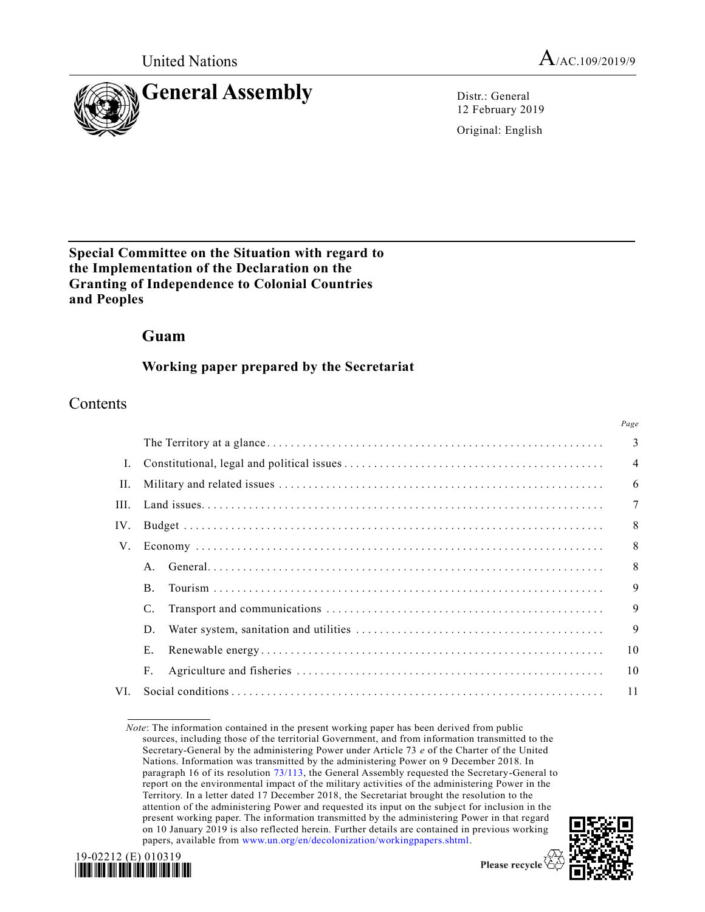



12 February 2019

Original: English

### **Special Committee on the Situation with regard to the Implementation of the Declaration on the Granting of Independence to Colonial Countries and Peoples**

### **Guam**

### **Working paper prepared by the Secretariat**

### Contents

|     |           | Page |  |  |
|-----|-----------|------|--|--|
|     |           |      |  |  |
|     |           |      |  |  |
| H.  |           |      |  |  |
|     |           |      |  |  |
| IV. |           |      |  |  |
|     |           |      |  |  |
|     |           | 8    |  |  |
|     | <b>B.</b> | 9    |  |  |
|     | C.        | 9    |  |  |
|     | D.        | 9    |  |  |
|     | E.        | 10   |  |  |
|     | F.        | 10   |  |  |
| VL. | 11        |      |  |  |

*Note*: The information contained in the present working paper has been derived from public sources, including those of the territorial Government, and from information transmitted to the Secretary-General by the administering Power under Article 73 *e* of the Charter of the United Nations. Information was transmitted by the administering Power on 9 December 2018. In paragraph 16 of its resolution [73/113,](https://undocs.org/A/RES/73/113) the General Assembly requested the Secretary-General to report on the environmental impact of the military activities of the administering Power in the Territory. In a letter dated 17 December 2018, the Secretariat brought the resolution to the attention of the administering Power and requested its input on the subject for inclusion in the present working paper. The information transmitted by the administering Power in that regard on 10 January 2019 is also reflected herein. Further details are contained in previous working papers, available from [www.un.org/en/decolonization/workingpapers.shtml.](http://www.un.org/en/decolonization/workingpapers.shtml)



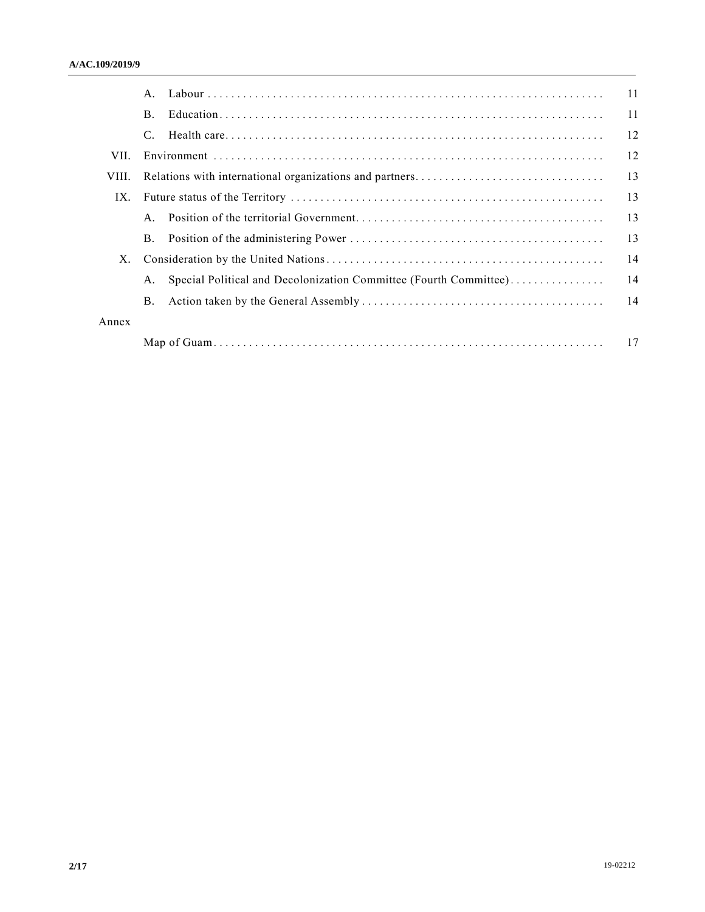|       |                |                                                                   | 11 |
|-------|----------------|-------------------------------------------------------------------|----|
|       | $\mathbf{B}$ . |                                                                   | 11 |
|       | C.             |                                                                   | 12 |
| VII.  |                |                                                                   | 12 |
| VIII. |                |                                                                   | 13 |
| IX.   |                |                                                                   | 13 |
|       |                |                                                                   | 13 |
|       |                |                                                                   | 13 |
| Χ.    |                |                                                                   | 14 |
|       | А.             | Special Political and Decolonization Committee (Fourth Committee) | 14 |
|       | B.             |                                                                   | 14 |
| Annex |                |                                                                   |    |
|       |                |                                                                   | 17 |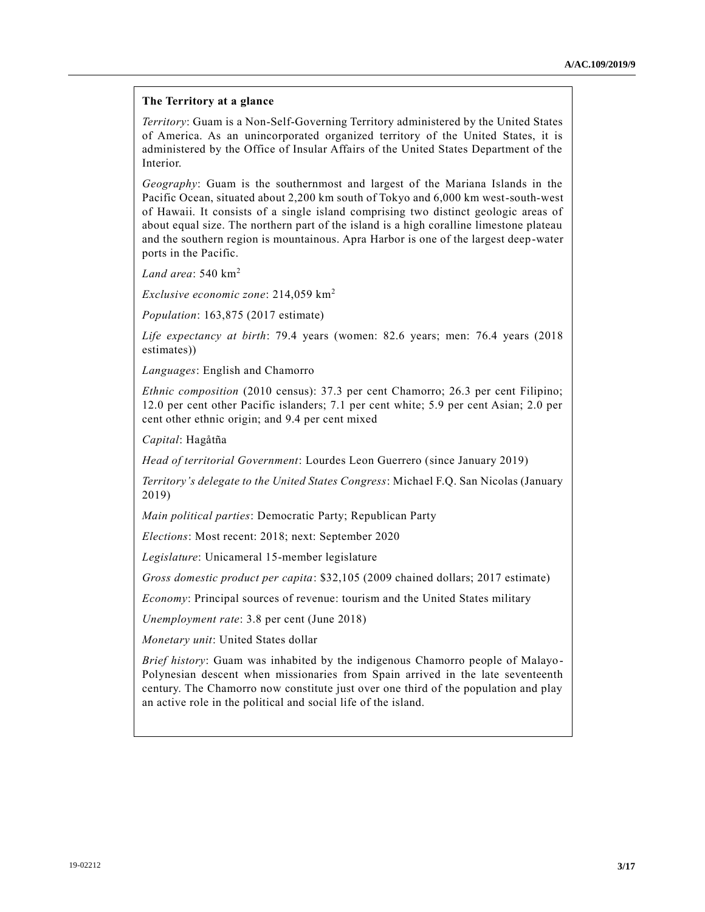#### **The Territory at a glance**

*Territory*: Guam is a Non-Self-Governing Territory administered by the United States of America. As an unincorporated organized territory of the United States, it is administered by the Office of Insular Affairs of the United States Department of the Interior.

*Geography*: Guam is the southernmost and largest of the Mariana Islands in the Pacific Ocean, situated about 2,200 km south of Tokyo and 6,000 km west-south-west of Hawaii. It consists of a single island comprising two distinct geologic areas of about equal size. The northern part of the island is a high coralline limestone plateau and the southern region is mountainous. Apra Harbor is one of the largest deep-water ports in the Pacific.

*Land area*: 540 km<sup>2</sup>

*Exclusive economic zone*: 214,059 km<sup>2</sup>

*Population*: 163,875 (2017 estimate)

*Life expectancy at birth*: 79.4 years (women: 82.6 years; men: 76.4 years (2018 estimates))

*Languages*: English and Chamorro

*Ethnic composition* (2010 census): 37.3 per cent Chamorro; 26.3 per cent Filipino; 12.0 per cent other Pacific islanders; 7.1 per cent white; 5.9 per cent Asian; 2.0 per cent other ethnic origin; and 9.4 per cent mixed

*Capital*: Hagåtña

*Head of territorial Government*: Lourdes Leon Guerrero (since January 2019)

*Territory's delegate to the United States Congress*: Michael F.Q. San Nicolas (January 2019)

*Main political parties*: Democratic Party; Republican Party

*Elections*: Most recent: 2018; next: September 2020

*Legislature*: Unicameral 15-member legislature

*Gross domestic product per capita*: \$32,105 (2009 chained dollars; 2017 estimate)

*Economy*: Principal sources of revenue: tourism and the United States military

*Unemployment rate*: 3.8 per cent (June 2018)

*Monetary unit*: United States dollar

*Brief history*: Guam was inhabited by the indigenous Chamorro people of Malayo-Polynesian descent when missionaries from Spain arrived in the late seventeenth century. The Chamorro now constitute just over one third of the population and play an active role in the political and social life of the island.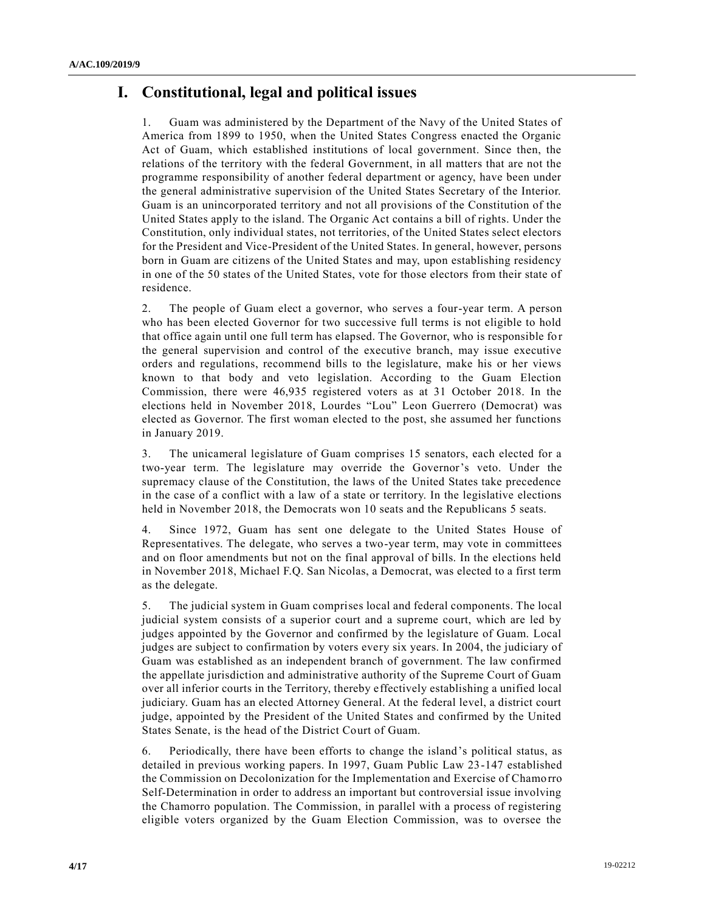# **I. Constitutional, legal and political issues**

1. Guam was administered by the Department of the Navy of the United States of America from 1899 to 1950, when the United States Congress enacted the Organic Act of Guam, which established institutions of local government. Since then, the relations of the territory with the federal Government, in all matters that are not the programme responsibility of another federal department or agency, have been under the general administrative supervision of the United States Secretary of the Interior. Guam is an unincorporated territory and not all provisions of the Constitution of the United States apply to the island. The Organic Act contains a bill of rights. Under the Constitution, only individual states, not territories, of the United States select electors for the President and Vice-President of the United States. In general, however, persons born in Guam are citizens of the United States and may, upon establishing residency in one of the 50 states of the United States, vote for those electors from their state of residence.

2. The people of Guam elect a governor, who serves a four-year term. A person who has been elected Governor for two successive full terms is not eligible to hold that office again until one full term has elapsed. The Governor, who is responsible fo r the general supervision and control of the executive branch, may issue executive orders and regulations, recommend bills to the legislature, make his or her views known to that body and veto legislation. According to the Guam Election Commission, there were 46,935 registered voters as at 31 October 2018. In the elections held in November 2018, Lourdes "Lou" Leon Guerrero (Democrat) was elected as Governor. The first woman elected to the post, she assumed her functions in January 2019.

3. The unicameral legislature of Guam comprises 15 senators, each elected for a two-year term. The legislature may override the Governor's veto. Under the supremacy clause of the Constitution, the laws of the United States take precedence in the case of a conflict with a law of a state or territory. In the legislative elections held in November 2018, the Democrats won 10 seats and the Republicans 5 seats.

4. Since 1972, Guam has sent one delegate to the United States House of Representatives. The delegate, who serves a two-year term, may vote in committees and on floor amendments but not on the final approval of bills. In the elections held in November 2018, Michael F.Q. San Nicolas, a Democrat, was elected to a first term as the delegate.

5. The judicial system in Guam comprises local and federal components. The local judicial system consists of a superior court and a supreme court, which are led by judges appointed by the Governor and confirmed by the legislature of Guam. Local judges are subject to confirmation by voters every six years. In 2004, the judiciary of Guam was established as an independent branch of government. The law confirmed the appellate jurisdiction and administrative authority of the Supreme Court of Guam over all inferior courts in the Territory, thereby effectively establishing a unified local judiciary. Guam has an elected Attorney General. At the federal level, a district court judge, appointed by the President of the United States and confirmed by the United States Senate, is the head of the District Court of Guam.

6. Periodically, there have been efforts to change the island's political status, as detailed in previous working papers. In 1997, Guam Public Law 23-147 established the Commission on Decolonization for the Implementation and Exercise of Chamorro Self-Determination in order to address an important but controversial issue involving the Chamorro population. The Commission, in parallel with a process of registering eligible voters organized by the Guam Election Commission, was to oversee the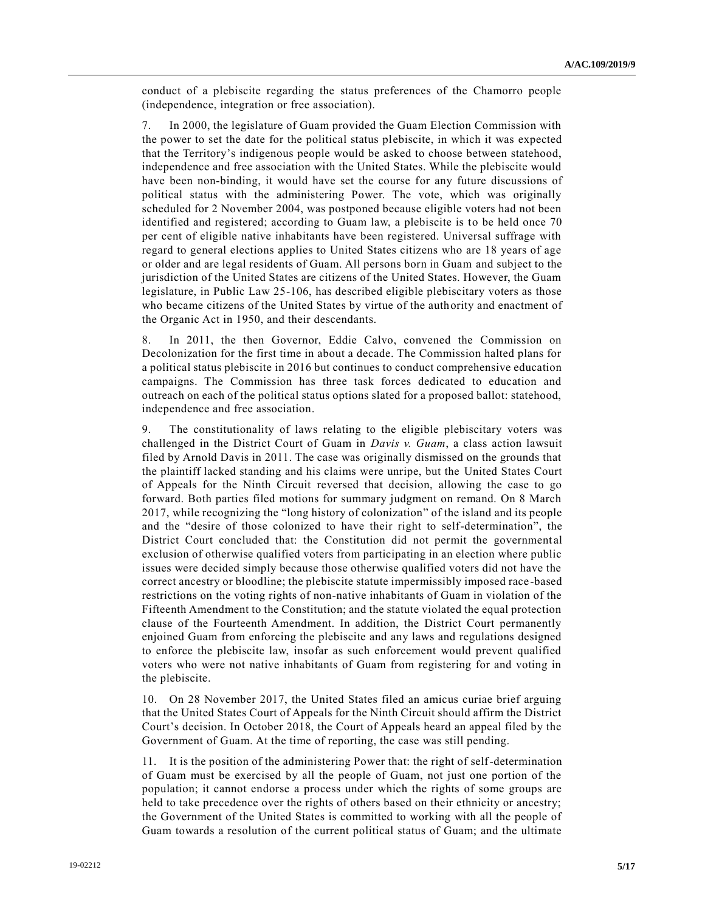conduct of a plebiscite regarding the status preferences of the Chamorro people (independence, integration or free association).

7. In 2000, the legislature of Guam provided the Guam Election Commission with the power to set the date for the political status plebiscite, in which it was expected that the Territory's indigenous people would be asked to choose between statehood, independence and free association with the United States. While the plebiscite would have been non-binding, it would have set the course for any future discussions of political status with the administering Power. The vote, which was originally scheduled for 2 November 2004, was postponed because eligible voters had not been identified and registered; according to Guam law, a plebiscite is to be held once 70 per cent of eligible native inhabitants have been registered. Universal suffrage with regard to general elections applies to United States citizens who are 18 years of age or older and are legal residents of Guam. All persons born in Guam and subject to the jurisdiction of the United States are citizens of the United States. However, the Guam legislature, in Public Law 25-106, has described eligible plebiscitary voters as those who became citizens of the United States by virtue of the authority and enactment of the Organic Act in 1950, and their descendants.

8. In 2011, the then Governor, Eddie Calvo, convened the Commission on Decolonization for the first time in about a decade. The Commission halted plans for a political status plebiscite in 2016 but continues to conduct comprehensive education campaigns. The Commission has three task forces dedicated to education and outreach on each of the political status options slated for a proposed ballot: statehood, independence and free association.

9. The constitutionality of laws relating to the eligible plebiscitary voters was challenged in the District Court of Guam in *Davis v. Guam*, a class action lawsuit filed by Arnold Davis in 2011. The case was originally dismissed on the grounds that the plaintiff lacked standing and his claims were unripe, but the United States Court of Appeals for the Ninth Circuit reversed that decision, allowing the case to go forward. Both parties filed motions for summary judgment on remand. On 8 March 2017, while recognizing the "long history of colonization" of the island and its people and the "desire of those colonized to have their right to self-determination", the District Court concluded that: the Constitution did not permit the governmental exclusion of otherwise qualified voters from participating in an election where public issues were decided simply because those otherwise qualified voters did not have the correct ancestry or bloodline; the plebiscite statute impermissibly imposed race -based restrictions on the voting rights of non-native inhabitants of Guam in violation of the Fifteenth Amendment to the Constitution; and the statute violated the equal protection clause of the Fourteenth Amendment. In addition, the District Court permanently enjoined Guam from enforcing the plebiscite and any laws and regulations designed to enforce the plebiscite law, insofar as such enforcement would prevent qualified voters who were not native inhabitants of Guam from registering for and voting in the plebiscite.

10. On 28 November 2017, the United States filed an amicus curiae brief arguing that the United States Court of Appeals for the Ninth Circuit should affirm the District Court's decision. In October 2018, the Court of Appeals heard an appeal filed by the Government of Guam. At the time of reporting, the case was still pending.

11. It is the position of the administering Power that: the right of self-determination of Guam must be exercised by all the people of Guam, not just one portion of the population; it cannot endorse a process under which the rights of some groups are held to take precedence over the rights of others based on their ethnicity or ancestry; the Government of the United States is committed to working with all the people of Guam towards a resolution of the current political status of Guam; and the ultimate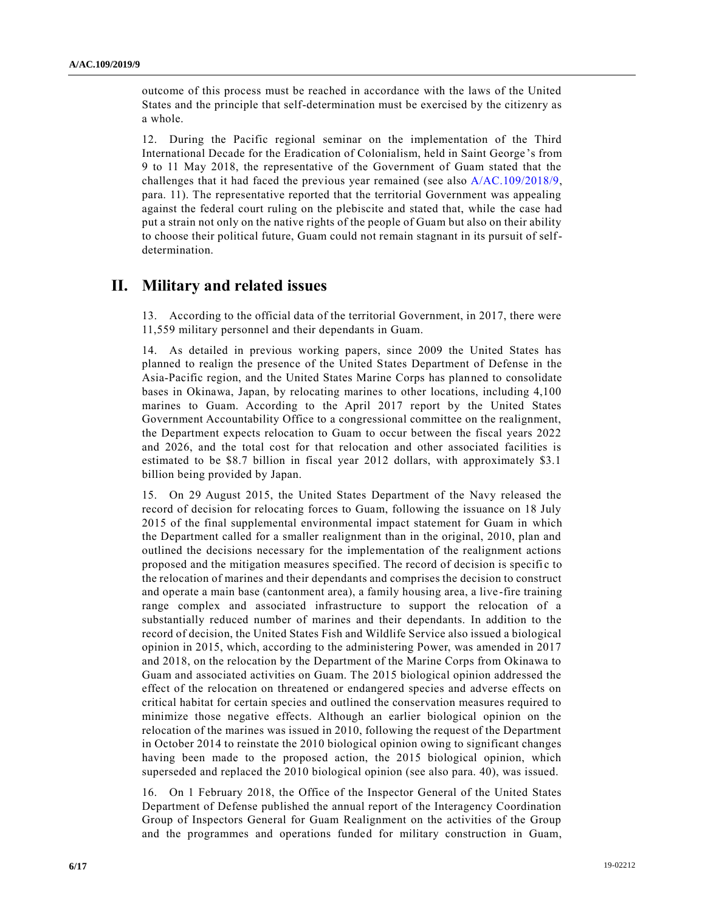outcome of this process must be reached in accordance with the laws of the United States and the principle that self-determination must be exercised by the citizenry as a whole.

12. During the Pacific regional seminar on the implementation of the Third International Decade for the Eradication of Colonialism, held in Saint George 's from 9 to 11 May 2018, the representative of the Government of Guam stated that the challenges that it had faced the previous year remained (see also [A/AC.109/2018/9,](https://undocs.org/A/AC.109/2018/9) para. 11). The representative reported that the territorial Government was appealing against the federal court ruling on the plebiscite and stated that, while the case had put a strain not only on the native rights of the people of Guam but also on their ability to choose their political future, Guam could not remain stagnant in its pursuit of selfdetermination.

### **II. Military and related issues**

13. According to the official data of the territorial Government, in 2017, there were 11,559 military personnel and their dependants in Guam.

14. As detailed in previous working papers, since 2009 the United States has planned to realign the presence of the United States Department of Defense in the Asia-Pacific region, and the United States Marine Corps has planned to consolidate bases in Okinawa, Japan, by relocating marines to other locations, including 4,100 marines to Guam. According to the April 2017 report by the United States Government Accountability Office to a congressional committee on the realignment, the Department expects relocation to Guam to occur between the fiscal years 2022 and 2026, and the total cost for that relocation and other associated facilities is estimated to be \$8.7 billion in fiscal year 2012 dollars, with approximately \$3.1 billion being provided by Japan.

15. On 29 August 2015, the United States Department of the Navy released the record of decision for relocating forces to Guam, following the issuance on 18 July 2015 of the final supplemental environmental impact statement for Guam in which the Department called for a smaller realignment than in the original, 2010, plan and outlined the decisions necessary for the implementation of the realignment actions proposed and the mitigation measures specified. The record of decision is specifi c to the relocation of marines and their dependants and comprises the decision to construct and operate a main base (cantonment area), a family housing area, a live -fire training range complex and associated infrastructure to support the relocation of a substantially reduced number of marines and their dependants. In addition to the record of decision, the United States Fish and Wildlife Service also issued a biological opinion in 2015, which, according to the administering Power, was amended in 2017 and 2018, on the relocation by the Department of the Marine Corps from Okinawa to Guam and associated activities on Guam. The 2015 biological opinion addressed the effect of the relocation on threatened or endangered species and adverse effects on critical habitat for certain species and outlined the conservation measures required to minimize those negative effects. Although an earlier biological opinion on the relocation of the marines was issued in 2010, following the request of the Department in October 2014 to reinstate the 2010 biological opinion owing to significant changes having been made to the proposed action, the 2015 biological opinion, which superseded and replaced the 2010 biological opinion (see also para. 40), was issued.

16. On 1 February 2018, the Office of the Inspector General of the United States Department of Defense published the annual report of the Interagency Coordination Group of Inspectors General for Guam Realignment on the activities of the Group and the programmes and operations funded for military construction in Guam,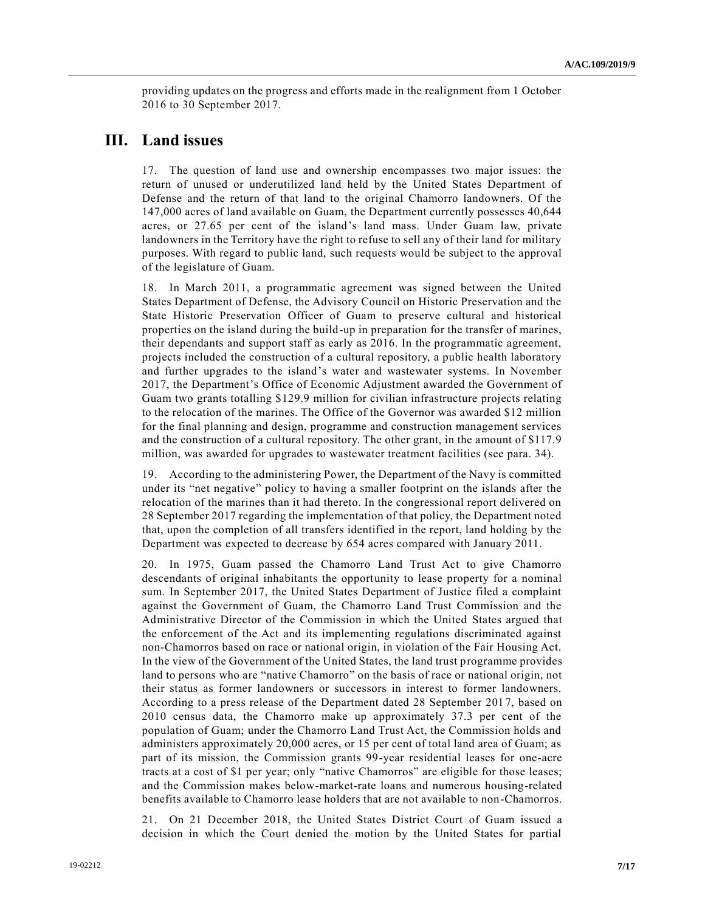providing updates on the progress and efforts made in the realignment from 1 October 2016 to 30 September 2017.

### **III. Land issues**

17. The question of land use and ownership encompasses two major issues: the return of unused or underutilized land held by the United States Department of Defense and the return of that land to the original Chamorro landowners. Of the 147,000 acres of land available on Guam, the Department currently possesses 40,644 acres, or 27.65 per cent of the island's land mass. Under Guam law, private landowners in the Territory have the right to refuse to sell any of their land for military purposes. With regard to public land, such requests would be subject to the approval of the legislature of Guam.

18. In March 2011, a programmatic agreement was signed between the United States Department of Defense, the Advisory Council on Historic Preservation and the State Historic Preservation Officer of Guam to preserve cultural and historical properties on the island during the build-up in preparation for the transfer of marines, their dependants and support staff as early as 2016. In the programmatic agreement, projects included the construction of a cultural repository, a public health laboratory and further upgrades to the island's water and wastewater systems. In November 2017, the Department's Office of Economic Adjustment awarded the Government of Guam two grants totalling \$129.9 million for civilian infrastructure projects relating to the relocation of the marines. The Office of the Governor was awarded \$12 million for the final planning and design, programme and construction management services and the construction of a cultural repository. The other grant, in the amount of \$117.9 million, was awarded for upgrades to wastewater treatment facilities (see para. 34).

19. According to the administering Power, the Department of the Navy is committed under its "net negative" policy to having a smaller footprint on the islands after the relocation of the marines than it had thereto. In the congressional report delivered on 28 September 2017 regarding the implementation of that policy, the Department noted that, upon the completion of all transfers identified in the report, land holding by the Department was expected to decrease by 654 acres compared with January 2011.

20. In 1975, Guam passed the Chamorro Land Trust Act to give Chamorro descendants of original inhabitants the opportunity to lease property for a nominal sum. In September 2017, the United States Department of Justice filed a complaint against the Government of Guam, the Chamorro Land Trust Commission and the Administrative Director of the Commission in which the United States argued that the enforcement of the Act and its implementing regulations discriminated against non-Chamorros based on race or national origin, in violation of the Fair Housing Act. In the view of the Government of the United States, the land trust programme provides land to persons who are "native Chamorro" on the basis of race or national origin, not their status as former landowners or successors in interest to former landowners. According to a press release of the Department dated 28 September 2017, based on 2010 census data, the Chamorro make up approximately 37.3 per cent of the population of Guam; under the Chamorro Land Trust Act, the Commission holds and administers approximately 20,000 acres, or 15 per cent of total land area of Guam; as part of its mission, the Commission grants 99-year residential leases for one-acre tracts at a cost of \$1 per year; only "native Chamorros" are eligible for those leases; and the Commission makes below-market-rate loans and numerous housing-related benefits available to Chamorro lease holders that are not available to non-Chamorros.

21. On 21 December 2018, the United States District Court of Guam issued a decision in which the Court denied the motion by the United States for partial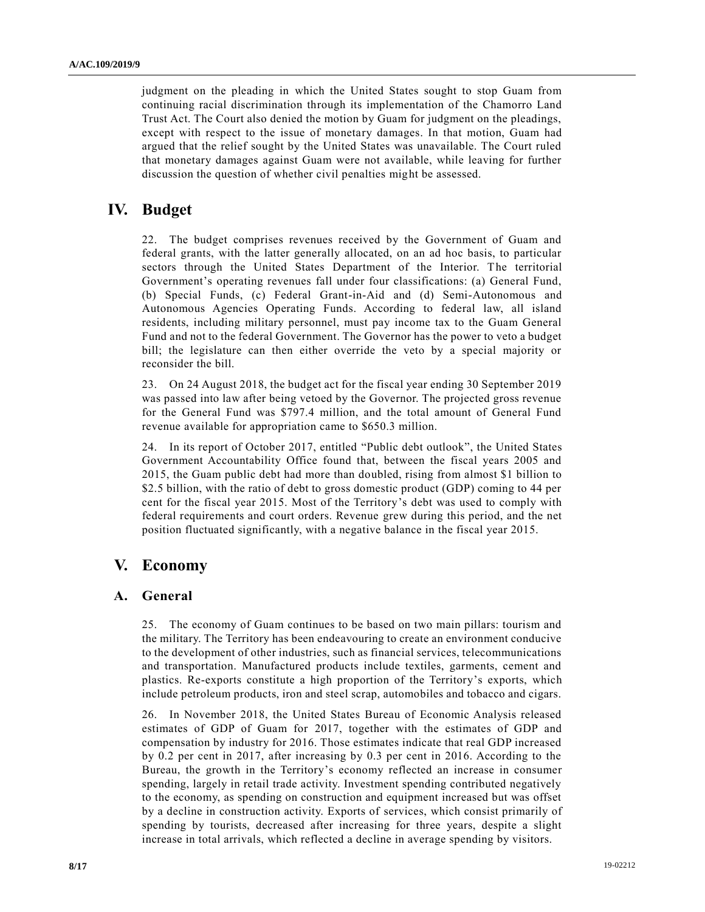judgment on the pleading in which the United States sought to stop Guam from continuing racial discrimination through its implementation of the Chamorro Land Trust Act. The Court also denied the motion by Guam for judgment on the pleadings, except with respect to the issue of monetary damages. In that motion, Guam had argued that the relief sought by the United States was unavailable. The Court ruled that monetary damages against Guam were not available, while leaving for further discussion the question of whether civil penalties might be assessed.

### **IV. Budget**

22. The budget comprises revenues received by the Government of Guam and federal grants, with the latter generally allocated, on an ad hoc basis, to particular sectors through the United States Department of the Interior. The territorial Government's operating revenues fall under four classifications: (a) General Fund, (b) Special Funds, (c) Federal Grant-in-Aid and (d) Semi-Autonomous and Autonomous Agencies Operating Funds. According to federal law, all island residents, including military personnel, must pay income tax to the Guam General Fund and not to the federal Government. The Governor has the power to veto a budget bill; the legislature can then either override the veto by a special majority or reconsider the bill.

23. On 24 August 2018, the budget act for the fiscal year ending 30 September 2019 was passed into law after being vetoed by the Governor. The projected gross revenue for the General Fund was \$797.4 million, and the total amount of General Fund revenue available for appropriation came to \$650.3 million.

24. In its report of October 2017, entitled "Public debt outlook", the United States Government Accountability Office found that, between the fiscal years 2005 and 2015, the Guam public debt had more than doubled, rising from almost \$1 billion to \$2.5 billion, with the ratio of debt to gross domestic product (GDP) coming to 44 per cent for the fiscal year 2015. Most of the Territory's debt was used to comply with federal requirements and court orders. Revenue grew during this period, and the net position fluctuated significantly, with a negative balance in the fiscal year 2015.

# **V. Economy**

### **A. General**

25. The economy of Guam continues to be based on two main pillars: tourism and the military. The Territory has been endeavouring to create an environment conducive to the development of other industries, such as financial services, telecommunications and transportation. Manufactured products include textiles, garments, cement and plastics. Re-exports constitute a high proportion of the Territory's exports, which include petroleum products, iron and steel scrap, automobiles and tobacco and cigars.

26. In November 2018, the United States Bureau of Economic Analysis released estimates of GDP of Guam for 2017, together with the estimates of GDP and compensation by industry for 2016. Those estimates indicate that real GDP increased by 0.2 per cent in 2017, after increasing by 0.3 per cent in 2016. According to the Bureau, the growth in the Territory's economy reflected an increase in consumer spending, largely in retail trade activity. Investment spending contributed negatively to the economy, as spending on construction and equipment increased but was offset by a decline in construction activity. Exports of services, which consist primarily of spending by tourists, decreased after increasing for three years, despite a slight increase in total arrivals, which reflected a decline in average spending by visitors.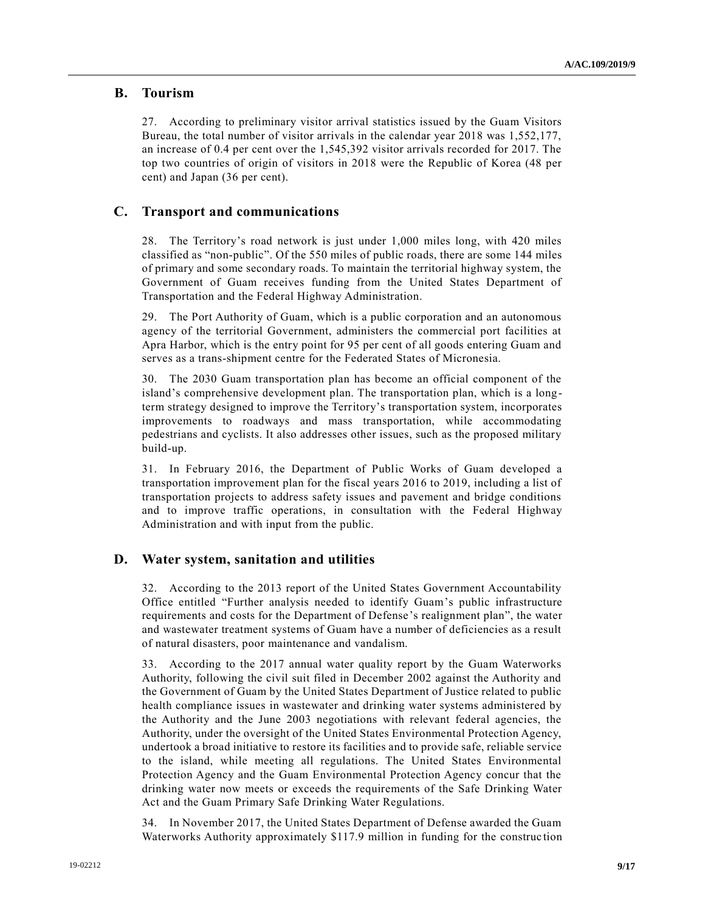#### **B. Tourism**

27. According to preliminary visitor arrival statistics issued by the Guam Visitors Bureau, the total number of visitor arrivals in the calendar year 2018 was 1,552,177, an increase of 0.4 per cent over the 1,545,392 visitor arrivals recorded for 2017. The top two countries of origin of visitors in 2018 were the Republic of Korea (48 per cent) and Japan (36 per cent).

#### **C. Transport and communications**

28. The Territory's road network is just under 1,000 miles long, with 420 miles classified as "non-public". Of the 550 miles of public roads, there are some 144 miles of primary and some secondary roads. To maintain the territorial highway system, the Government of Guam receives funding from the United States Department of Transportation and the Federal Highway Administration.

29. The Port Authority of Guam, which is a public corporation and an autonomous agency of the territorial Government, administers the commercial port facilities at Apra Harbor, which is the entry point for 95 per cent of all goods entering Guam and serves as a trans-shipment centre for the Federated States of Micronesia.

30. The 2030 Guam transportation plan has become an official component of the island's comprehensive development plan. The transportation plan, which is a longterm strategy designed to improve the Territory's transportation system, incorporates improvements to roadways and mass transportation, while accommodating pedestrians and cyclists. It also addresses other issues, such as the proposed military build-up.

31. In February 2016, the Department of Public Works of Guam developed a transportation improvement plan for the fiscal years 2016 to 2019, including a list of transportation projects to address safety issues and pavement and bridge conditions and to improve traffic operations, in consultation with the Federal Highway Administration and with input from the public.

#### **D. Water system, sanitation and utilities**

32. According to the 2013 report of the United States Government Accountability Office entitled "Further analysis needed to identify Guam's public infrastructure requirements and costs for the Department of Defense's realignment plan", the water and wastewater treatment systems of Guam have a number of deficiencies as a result of natural disasters, poor maintenance and vandalism.

33. According to the 2017 annual water quality report by the Guam Waterworks Authority, following the civil suit filed in December 2002 against the Authority and the Government of Guam by the United States Department of Justice related to public health compliance issues in wastewater and drinking water systems administered by the Authority and the June 2003 negotiations with relevant federal agencies, the Authority, under the oversight of the United States Environmental Protection Agency, undertook a broad initiative to restore its facilities and to provide safe, reliable service to the island, while meeting all regulations. The United States Environmental Protection Agency and the Guam Environmental Protection Agency concur that the drinking water now meets or exceeds the requirements of the Safe Drinking Water Act and the Guam Primary Safe Drinking Water Regulations.

34. In November 2017, the United States Department of Defense awarded the Guam Waterworks Authority approximately \$117.9 million in funding for the construc tion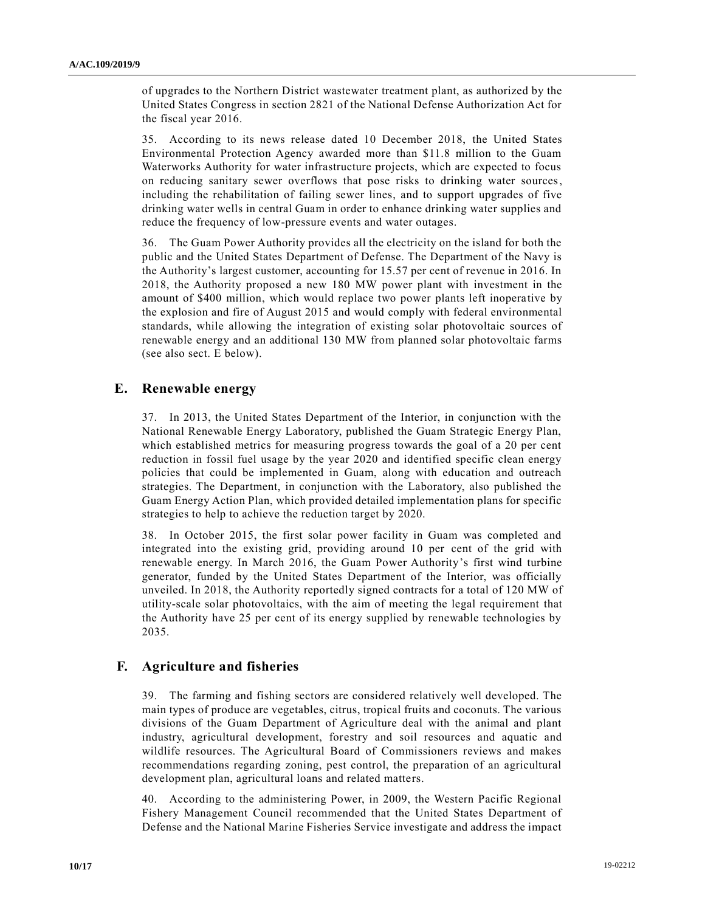of upgrades to the Northern District wastewater treatment plant, as authorized by the United States Congress in section 2821 of the National Defense Authorization Act for the fiscal year 2016.

35. According to its news release dated 10 December 2018, the United States Environmental Protection Agency awarded more than \$11.8 million to the Guam Waterworks Authority for water infrastructure projects, which are expected to focus on reducing sanitary sewer overflows that pose risks to drinking water sources, including the rehabilitation of failing sewer lines, and to support upgrades of five drinking water wells in central Guam in order to enhance drinking water supplies and reduce the frequency of low-pressure events and water outages.

36. The Guam Power Authority provides all the electricity on the island for both the public and the United States Department of Defense. The Department of the Navy is the Authority's largest customer, accounting for 15.57 per cent of revenue in 2016. In 2018, the Authority proposed a new 180 MW power plant with investment in the amount of \$400 million, which would replace two power plants left inoperative by the explosion and fire of August 2015 and would comply with federal environmental standards, while allowing the integration of existing solar photovoltaic sources of renewable energy and an additional 130 MW from planned solar photovoltaic farms (see also sect. E below).

#### **E. Renewable energy**

37. In 2013, the United States Department of the Interior, in conjunction with the National Renewable Energy Laboratory, published the Guam Strategic Energy Plan, which established metrics for measuring progress towards the goal of a 20 per cent reduction in fossil fuel usage by the year 2020 and identified specific clean energy policies that could be implemented in Guam, along with education and outreach strategies. The Department, in conjunction with the Laboratory, also published the Guam Energy Action Plan, which provided detailed implementation plans for specific strategies to help to achieve the reduction target by 2020.

38. In October 2015, the first solar power facility in Guam was completed and integrated into the existing grid, providing around 10 per cent of the grid with renewable energy. In March 2016, the Guam Power Authority's first wind turbine generator, funded by the United States Department of the Interior, was officially unveiled. In 2018, the Authority reportedly signed contracts for a total of 120 MW of utility-scale solar photovoltaics, with the aim of meeting the legal requirement that the Authority have 25 per cent of its energy supplied by renewable technologies by 2035.

#### **F. Agriculture and fisheries**

39. The farming and fishing sectors are considered relatively well developed. The main types of produce are vegetables, citrus, tropical fruits and coconuts. The various divisions of the Guam Department of Agriculture deal with the animal and plant industry, agricultural development, forestry and soil resources and aquatic and wildlife resources. The Agricultural Board of Commissioners reviews and makes recommendations regarding zoning, pest control, the preparation of an agricultural development plan, agricultural loans and related matters.

40. According to the administering Power, in 2009, the Western Pacific Regional Fishery Management Council recommended that the United States Department of Defense and the National Marine Fisheries Service investigate and address the impact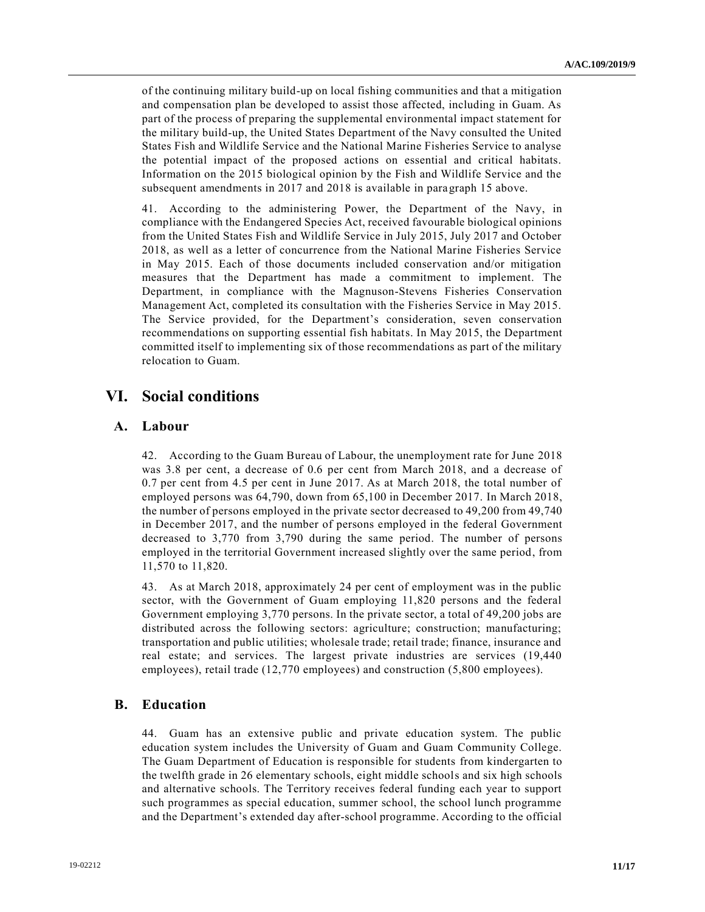of the continuing military build-up on local fishing communities and that a mitigation and compensation plan be developed to assist those affected, including in Guam. As part of the process of preparing the supplemental environmental impact statement for the military build-up, the United States Department of the Navy consulted the United States Fish and Wildlife Service and the National Marine Fisheries Service to analyse the potential impact of the proposed actions on essential and critical habitats. Information on the 2015 biological opinion by the Fish and Wildlife Service and the subsequent amendments in 2017 and 2018 is available in paragraph 15 above.

41. According to the administering Power, the Department of the Navy, in compliance with the Endangered Species Act, received favourable biological opinions from the United States Fish and Wildlife Service in July 2015, July 2017 and October 2018, as well as a letter of concurrence from the National Marine Fisheries Service in May 2015. Each of those documents included conservation and/or mitigation measures that the Department has made a commitment to implement. The Department, in compliance with the Magnuson-Stevens Fisheries Conservation Management Act, completed its consultation with the Fisheries Service in May 2015. The Service provided, for the Department's consideration, seven conservation recommendations on supporting essential fish habitats. In May 2015, the Department committed itself to implementing six of those recommendations as part of the military relocation to Guam.

### **VI. Social conditions**

### **A. Labour**

42. According to the Guam Bureau of Labour, the unemployment rate for June 2018 was 3.8 per cent, a decrease of 0.6 per cent from March 2018, and a decrease of 0.7 per cent from 4.5 per cent in June 2017. As at March 2018, the total number of employed persons was 64,790, down from 65,100 in December 2017. In March 2018, the number of persons employed in the private sector decreased to 49,200 from 49,740 in December 2017, and the number of persons employed in the federal Government decreased to 3,770 from 3,790 during the same period. The number of persons employed in the territorial Government increased slightly over the same period, from 11,570 to 11,820.

43. As at March 2018, approximately 24 per cent of employment was in the public sector, with the Government of Guam employing 11,820 persons and the federal Government employing 3,770 persons. In the private sector, a total of 49,200 jobs are distributed across the following sectors: agriculture; construction; manufacturing; transportation and public utilities; wholesale trade; retail trade; finance, insurance and real estate; and services. The largest private industries are services (19,440 employees), retail trade (12,770 employees) and construction (5,800 employees).

### **B. Education**

44. Guam has an extensive public and private education system. The public education system includes the University of Guam and Guam Community College. The Guam Department of Education is responsible for students from kindergarten to the twelfth grade in 26 elementary schools, eight middle schools and six high schools and alternative schools. The Territory receives federal funding each year to support such programmes as special education, summer school, the school lunch programme and the Department's extended day after-school programme. According to the official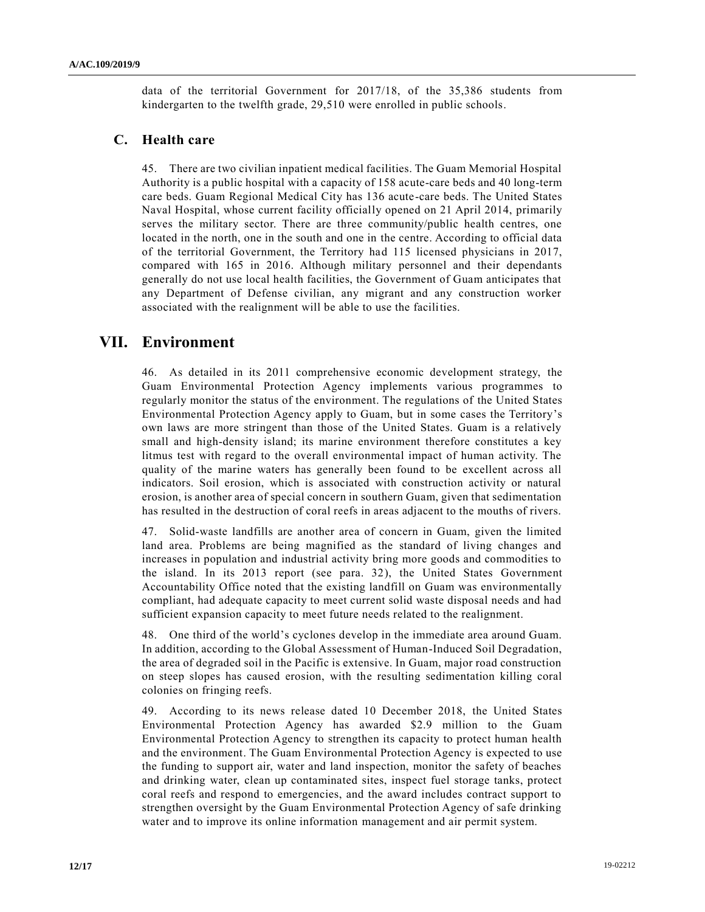data of the territorial Government for 2017/18, of the 35,386 students from kindergarten to the twelfth grade, 29,510 were enrolled in public schools.

### **C. Health care**

45. There are two civilian inpatient medical facilities. The Guam Memorial Hospital Authority is a public hospital with a capacity of 158 acute-care beds and 40 long-term care beds. Guam Regional Medical City has 136 acute-care beds. The United States Naval Hospital, whose current facility officially opened on 21 April 2014, primarily serves the military sector. There are three community/public health centres, one located in the north, one in the south and one in the centre. According to official data of the territorial Government, the Territory had 115 licensed physicians in 2017, compared with 165 in 2016. Although military personnel and their dependants generally do not use local health facilities, the Government of Guam anticipates that any Department of Defense civilian, any migrant and any construction worker associated with the realignment will be able to use the facilities.

### **VII. Environment**

46. As detailed in its 2011 comprehensive economic development strategy, the Guam Environmental Protection Agency implements various programmes to regularly monitor the status of the environment. The regulations of the United States Environmental Protection Agency apply to Guam, but in some cases the Territory's own laws are more stringent than those of the United States. Guam is a relatively small and high-density island; its marine environment therefore constitutes a key litmus test with regard to the overall environmental impact of human activity. The quality of the marine waters has generally been found to be excellent across all indicators. Soil erosion, which is associated with construction activity or natural erosion, is another area of special concern in southern Guam, given that sedimentation has resulted in the destruction of coral reefs in areas adjacent to the mouths of rivers.

47. Solid-waste landfills are another area of concern in Guam, given the limited land area. Problems are being magnified as the standard of living changes and increases in population and industrial activity bring more goods and commodities to the island. In its 2013 report (see para. 32), the United States Government Accountability Office noted that the existing landfill on Guam was environmentally compliant, had adequate capacity to meet current solid waste disposal needs and had sufficient expansion capacity to meet future needs related to the realignment.

48. One third of the world's cyclones develop in the immediate area around Guam. In addition, according to the Global Assessment of Human-Induced Soil Degradation, the area of degraded soil in the Pacific is extensive. In Guam, major road construction on steep slopes has caused erosion, with the resulting sedimentation killing coral colonies on fringing reefs.

49. According to its news release dated 10 December 2018, the United States Environmental Protection Agency has awarded \$2.9 million to the Guam Environmental Protection Agency to strengthen its capacity to protect human health and the environment. The Guam Environmental Protection Agency is expected to use the funding to support air, water and land inspection, monitor the safety of beaches and drinking water, clean up contaminated sites, inspect fuel storage tanks, protect coral reefs and respond to emergencies, and the award includes contract support to strengthen oversight by the Guam Environmental Protection Agency of safe drinking water and to improve its online information management and air permit system.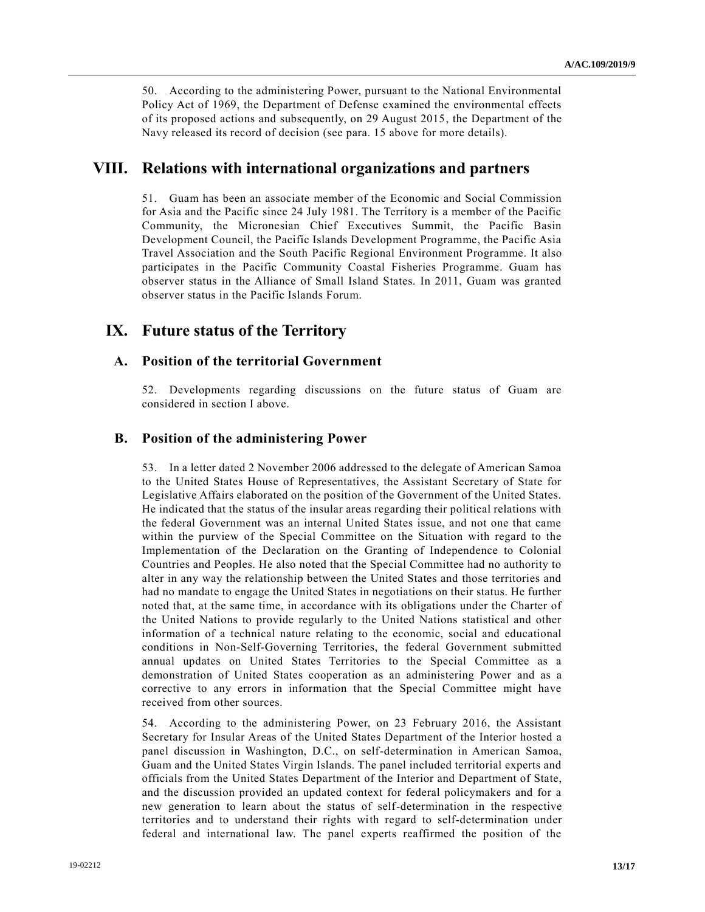50. According to the administering Power, pursuant to the National Environmental Policy Act of 1969, the Department of Defense examined the environmental effects of its proposed actions and subsequently, on 29 August 2015, the Department of the Navy released its record of decision (see para. 15 above for more details).

### **VIII. Relations with international organizations and partners**

51. Guam has been an associate member of the Economic and Social Commission for Asia and the Pacific since 24 July 1981. The Territory is a member of the Pacific Community, the Micronesian Chief Executives Summit, the Pacific Basin Development Council, the Pacific Islands Development Programme, the Pacific Asia Travel Association and the South Pacific Regional Environment Programme. It also participates in the Pacific Community Coastal Fisheries Programme. Guam has observer status in the Alliance of Small Island States. In 2011, Guam was granted observer status in the Pacific Islands Forum.

### **IX. Future status of the Territory**

### **A. Position of the territorial Government**

52. Developments regarding discussions on the future status of Guam are considered in section I above.

#### **B. Position of the administering Power**

53. In a letter dated 2 November 2006 addressed to the delegate of American Samoa to the United States House of Representatives, the Assistant Secretary of State for Legislative Affairs elaborated on the position of the Government of the United States. He indicated that the status of the insular areas regarding their political relations with the federal Government was an internal United States issue, and not one that came within the purview of the Special Committee on the Situation with regard to the Implementation of the Declaration on the Granting of Independence to Colonial Countries and Peoples. He also noted that the Special Committee had no authority to alter in any way the relationship between the United States and those territories and had no mandate to engage the United States in negotiations on their status. He further noted that, at the same time, in accordance with its obligations under the Charter of the United Nations to provide regularly to the United Nations statistical and other information of a technical nature relating to the economic, social and educational conditions in Non-Self-Governing Territories, the federal Government submitted annual updates on United States Territories to the Special Committee as a demonstration of United States cooperation as an administering Power and as a corrective to any errors in information that the Special Committee might have received from other sources.

54. According to the administering Power, on 23 February 2016, the Assistant Secretary for Insular Areas of the United States Department of the Interior hosted a panel discussion in Washington, D.C., on self-determination in American Samoa, Guam and the United States Virgin Islands. The panel included territorial experts and officials from the United States Department of the Interior and Department of State, and the discussion provided an updated context for federal policymakers and for a new generation to learn about the status of self-determination in the respective territories and to understand their rights with regard to self-determination under federal and international law. The panel experts reaffirmed the position of the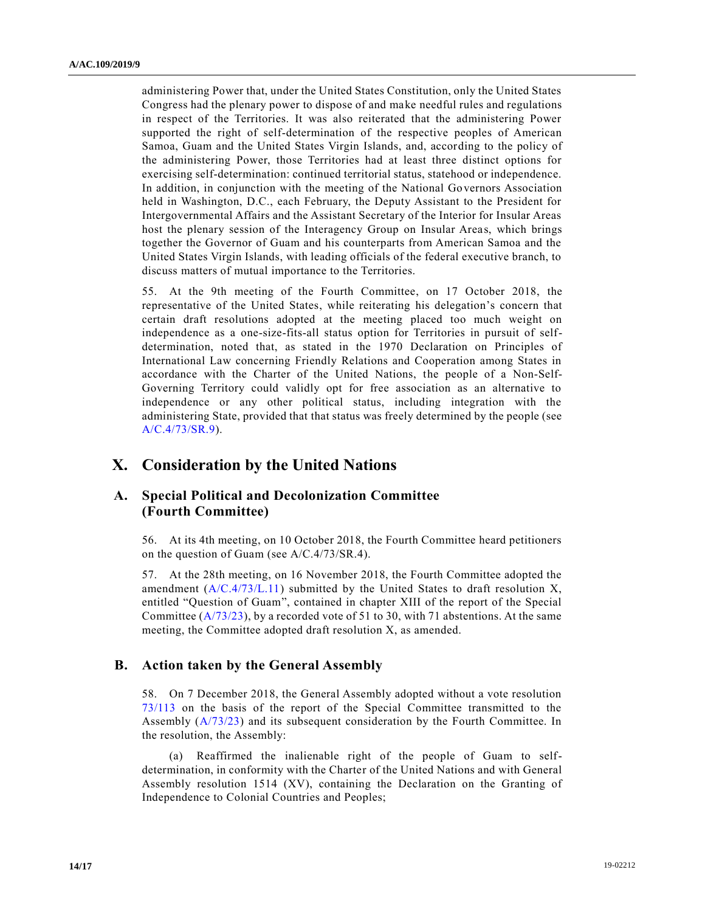administering Power that, under the United States Constitution, only the United States Congress had the plenary power to dispose of and make needful rules and regulations in respect of the Territories. It was also reiterated that the administering Power supported the right of self-determination of the respective peoples of American Samoa, Guam and the United States Virgin Islands, and, according to the policy of the administering Power, those Territories had at least three distinct options for exercising self-determination: continued territorial status, statehood or independence. In addition, in conjunction with the meeting of the National Governors Association held in Washington, D.C., each February, the Deputy Assistant to the President for Intergovernmental Affairs and the Assistant Secretary of the Interior for Insular Areas host the plenary session of the Interagency Group on Insular Areas, which brings together the Governor of Guam and his counterparts from American Samoa and the United States Virgin Islands, with leading officials of the federal executive branch, to discuss matters of mutual importance to the Territories.

55. At the 9th meeting of the Fourth Committee, on 17 October 2018, the representative of the United States, while reiterating his delegation's concern that certain draft resolutions adopted at the meeting placed too much weight on independence as a one-size-fits-all status option for Territories in pursuit of selfdetermination, noted that, as stated in the 1970 Declaration on Principles of International Law concerning Friendly Relations and Cooperation among States in accordance with the Charter of the United Nations, the people of a Non-Self-Governing Territory could validly opt for free association as an alternative to independence or any other political status, including integration with the administering State, provided that that status was freely determined by the people (see [A/C.4/73/SR.9\)](http://www.undocs.org/A/C.4/73/SR.9).

### **X. Consideration by the United Nations**

#### **A. Special Political and Decolonization Committee (Fourth Committee)**

56. At its 4th meeting, on 10 October 2018, the Fourth Committee heard petitioners on the question of Guam (see [A/C.4/73/SR.4\)](http://www.undocs.org/A/C.4/73/SR.4).

57. At the 28th meeting, on 16 November 2018, the Fourth Committee adopted the amendment [\(A/C.4/73/L.11\)](http://www.undocs.org/A/C.4/73/L.11) submitted by the United States to draft resolution X, entitled "Question of Guam", contained in chapter XIII of the report of the Special Committee  $(A/73/23)$ , by a recorded vote of 51 to 30, with 71 abstentions. At the same meeting, the Committee adopted draft resolution X, as amended.

#### **B. Action taken by the General Assembly**

58. On 7 December 2018, the General Assembly adopted without a vote resolution [73/113](https://undocs.org/A/RES/73/113) on the basis of the report of the Special Committee transmitted to the Assembly [\(A/73/23\)](http://www.undocs.org/A/73/23) and its subsequent consideration by the Fourth Committee. In the resolution, the Assembly:

(a) Reaffirmed the inalienable right of the people of Guam to selfdetermination, in conformity with the Charter of the United Nations and with General Assembly resolution 1514 (XV), containing the Declaration on the Granting of Independence to Colonial Countries and Peoples;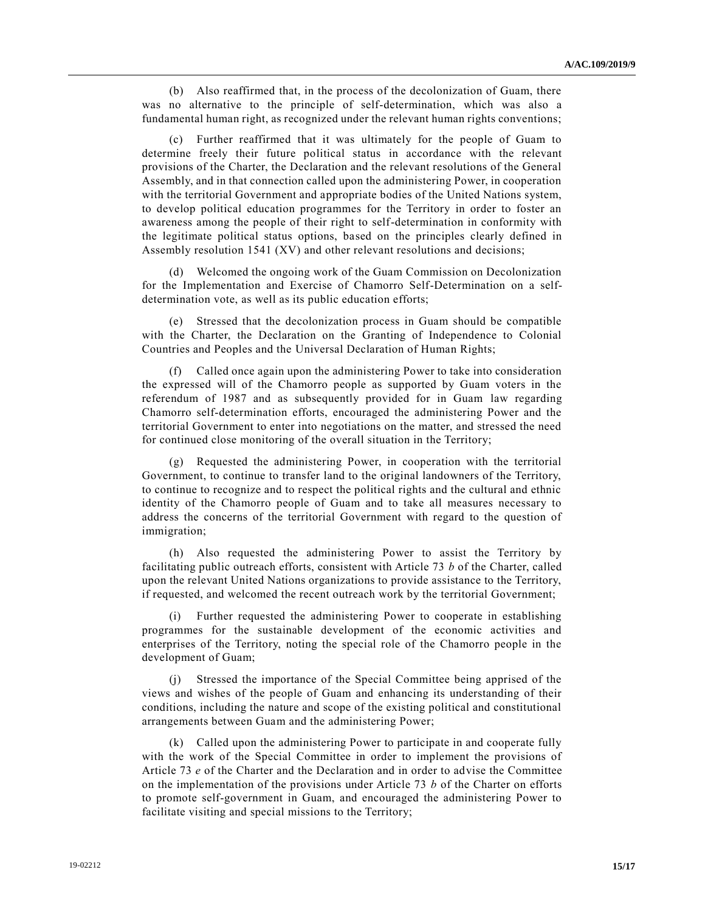(b) Also reaffirmed that, in the process of the decolonization of Guam, there was no alternative to the principle of self-determination, which was also a fundamental human right, as recognized under the relevant human rights conventions;

(c) Further reaffirmed that it was ultimately for the people of Guam to determine freely their future political status in accordance with the relevant provisions of the Charter, the Declaration and the relevant resolutions of the General Assembly, and in that connection called upon the administering Power, in cooperation with the territorial Government and appropriate bodies of the United Nations system, to develop political education programmes for the Territory in order to foster an awareness among the people of their right to self-determination in conformity with the legitimate political status options, based on the principles clearly defined in Assembly resolution 1541 (XV) and other relevant resolutions and decisions;

(d) Welcomed the ongoing work of the Guam Commission on Decolonization for the Implementation and Exercise of Chamorro Self-Determination on a selfdetermination vote, as well as its public education efforts;

(e) Stressed that the decolonization process in Guam should be compatible with the Charter, the Declaration on the Granting of Independence to Colonial Countries and Peoples and the Universal Declaration of Human Rights;

(f) Called once again upon the administering Power to take into consideration the expressed will of the Chamorro people as supported by Guam voters in the referendum of 1987 and as subsequently provided for in Guam law regarding Chamorro self-determination efforts, encouraged the administering Power and the territorial Government to enter into negotiations on the matter, and stressed the need for continued close monitoring of the overall situation in the Territory;

(g) Requested the administering Power, in cooperation with the territorial Government, to continue to transfer land to the original landowners of the Territory, to continue to recognize and to respect the political rights and the cultural and ethnic identity of the Chamorro people of Guam and to take all measures necessary to address the concerns of the territorial Government with regard to the question of immigration;

(h) Also requested the administering Power to assist the Territory by facilitating public outreach efforts, consistent with Article 73 *b* of the Charter, called upon the relevant United Nations organizations to provide assistance to the Territory, if requested, and welcomed the recent outreach work by the territorial Government;

Further requested the administering Power to cooperate in establishing programmes for the sustainable development of the economic activities and enterprises of the Territory, noting the special role of the Chamorro people in the development of Guam;

(j) Stressed the importance of the Special Committee being apprised of the views and wishes of the people of Guam and enhancing its understanding of their conditions, including the nature and scope of the existing political and constitutional arrangements between Guam and the administering Power;

(k) Called upon the administering Power to participate in and cooperate fully with the work of the Special Committee in order to implement the provisions of Article 73 *e* of the Charter and the Declaration and in order to advise the Committee on the implementation of the provisions under Article 73 *b* of the Charter on efforts to promote self-government in Guam, and encouraged the administering Power to facilitate visiting and special missions to the Territory;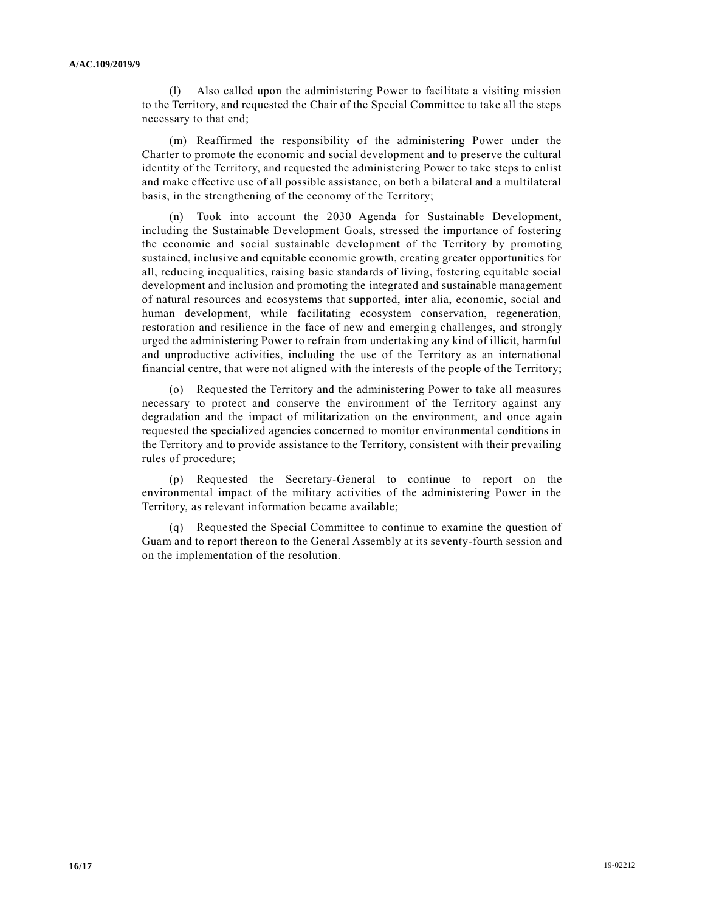(l) Also called upon the administering Power to facilitate a visiting mission to the Territory, and requested the Chair of the Special Committee to take all the steps necessary to that end;

(m) Reaffirmed the responsibility of the administering Power under the Charter to promote the economic and social development and to preserve the cultural identity of the Territory, and requested the administering Power to take steps to enlist and make effective use of all possible assistance, on both a bilateral and a multilateral basis, in the strengthening of the economy of the Territory;

(n) Took into account the 2030 Agenda for Sustainable Development, including the Sustainable Development Goals, stressed the importance of fostering the economic and social sustainable development of the Territory by promoting sustained, inclusive and equitable economic growth, creating greater opportunities for all, reducing inequalities, raising basic standards of living, fostering equitable social development and inclusion and promoting the integrated and sustainable management of natural resources and ecosystems that supported, inter alia, economic, social and human development, while facilitating ecosystem conservation, regeneration, restoration and resilience in the face of new and emerging challenges, and strongly urged the administering Power to refrain from undertaking any kind of illicit, harmful and unproductive activities, including the use of the Territory as an international financial centre, that were not aligned with the interests of the people of the Territory;

(o) Requested the Territory and the administering Power to take all measures necessary to protect and conserve the environment of the Territory against any degradation and the impact of militarization on the environment, and once again requested the specialized agencies concerned to monitor environmental conditions in the Territory and to provide assistance to the Territory, consistent with their prevailing rules of procedure;

(p) Requested the Secretary-General to continue to report on the environmental impact of the military activities of the administering Power in the Territory, as relevant information became available;

(q) Requested the Special Committee to continue to examine the question of Guam and to report thereon to the General Assembly at its seventy-fourth session and on the implementation of the resolution.